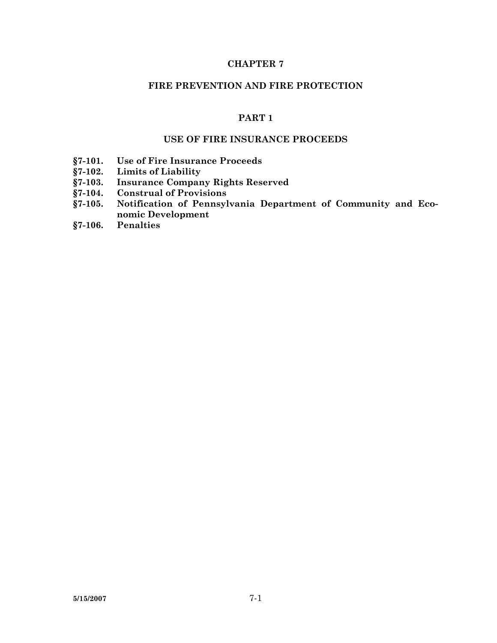## **CHAPTER 7**

### **FIRE PREVENTION AND FIRE PROTECTION**

# **PART 1**

## **USE OF FIRE INSURANCE PROCEEDS**

- **§7-101. Use of Fire Insurance Proceeds**
- **§7-102. Limits of Liability**
- **§7-103. Insurance Company Rights Reserved**
- **§7-104. Construal of Provisions**
- **§7-105. Notification of Pennsylvania Department of Community and Economic Development**
- **§7-106. Penalties**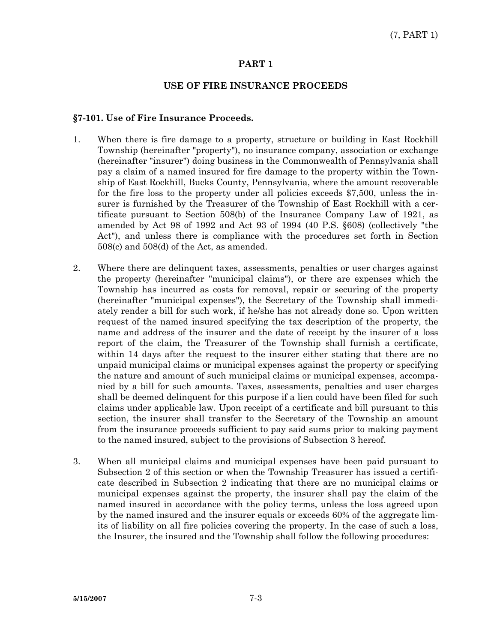### **PART 1**

#### **USE OF FIRE INSURANCE PROCEEDS**

### **§7-101. Use of Fire Insurance Proceeds.**

- 1. When there is fire damage to a property, structure or building in East Rockhill Township (hereinafter "property"), no insurance company, association or exchange (hereinafter "insurer") doing business in the Commonwealth of Pennsylvania shall pay a claim of a named insured for fire damage to the property within the Township of East Rockhill, Bucks County, Pennsylvania, where the amount recoverable for the fire loss to the property under all policies exceeds \$7,500, unless the insurer is furnished by the Treasurer of the Township of East Rockhill with a certificate pursuant to Section 508(b) of the Insurance Company Law of 1921, as amended by Act 98 of 1992 and Act 93 of 1994 (40 P.S. §608) (collectively "the Act"), and unless there is compliance with the procedures set forth in Section 508(c) and 508(d) of the Act, as amended.
- 2. Where there are delinquent taxes, assessments, penalties or user charges against the property (hereinafter "municipal claims"), or there are expenses which the Township has incurred as costs for removal, repair or securing of the property (hereinafter "municipal expenses"), the Secretary of the Township shall immediately render a bill for such work, if he/she has not already done so. Upon written request of the named insured specifying the tax description of the property, the name and address of the insurer and the date of receipt by the insurer of a loss report of the claim, the Treasurer of the Township shall furnish a certificate, within 14 days after the request to the insurer either stating that there are no unpaid municipal claims or municipal expenses against the property or specifying the nature and amount of such municipal claims or municipal expenses, accompanied by a bill for such amounts. Taxes, assessments, penalties and user charges shall be deemed delinquent for this purpose if a lien could have been filed for such claims under applicable law. Upon receipt of a certificate and bill pursuant to this section, the insurer shall transfer to the Secretary of the Township an amount from the insurance proceeds sufficient to pay said sums prior to making payment to the named insured, subject to the provisions of Subsection 3 hereof.
- 3. When all municipal claims and municipal expenses have been paid pursuant to Subsection 2 of this section or when the Township Treasurer has issued a certificate described in Subsection 2 indicating that there are no municipal claims or municipal expenses against the property, the insurer shall pay the claim of the named insured in accordance with the policy terms, unless the loss agreed upon by the named insured and the insurer equals or exceeds 60% of the aggregate limits of liability on all fire policies covering the property. In the case of such a loss, the Insurer, the insured and the Township shall follow the following procedures: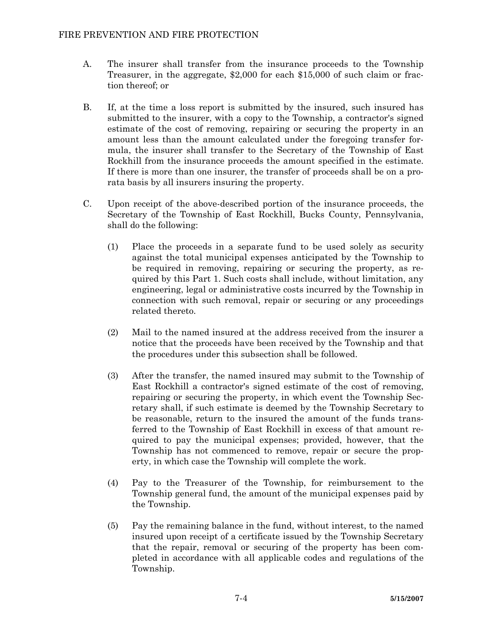- A. The insurer shall transfer from the insurance proceeds to the Township Treasurer, in the aggregate, \$2,000 for each \$15,000 of such claim or fraction thereof; or
- B. If, at the time a loss report is submitted by the insured, such insured has submitted to the insurer, with a copy to the Township, a contractor's signed estimate of the cost of removing, repairing or securing the property in an amount less than the amount calculated under the foregoing transfer formula, the insurer shall transfer to the Secretary of the Township of East Rockhill from the insurance proceeds the amount specified in the estimate. If there is more than one insurer, the transfer of proceeds shall be on a prorata basis by all insurers insuring the property.
- C. Upon receipt of the above-described portion of the insurance proceeds, the Secretary of the Township of East Rockhill, Bucks County, Pennsylvania, shall do the following:
	- (1) Place the proceeds in a separate fund to be used solely as security against the total municipal expenses anticipated by the Township to be required in removing, repairing or securing the property, as required by this Part 1. Such costs shall include, without limitation, any engineering, legal or administrative costs incurred by the Township in connection with such removal, repair or securing or any proceedings related thereto.
	- (2) Mail to the named insured at the address received from the insurer a notice that the proceeds have been received by the Township and that the procedures under this subsection shall be followed.
	- (3) After the transfer, the named insured may submit to the Township of East Rockhill a contractor's signed estimate of the cost of removing, repairing or securing the property, in which event the Township Secretary shall, if such estimate is deemed by the Township Secretary to be reasonable, return to the insured the amount of the funds transferred to the Township of East Rockhill in excess of that amount required to pay the municipal expenses; provided, however, that the Township has not commenced to remove, repair or secure the property, in which case the Township will complete the work.
	- (4) Pay to the Treasurer of the Township, for reimbursement to the Township general fund, the amount of the municipal expenses paid by the Township.
	- (5) Pay the remaining balance in the fund, without interest, to the named insured upon receipt of a certificate issued by the Township Secretary that the repair, removal or securing of the property has been completed in accordance with all applicable codes and regulations of the Township.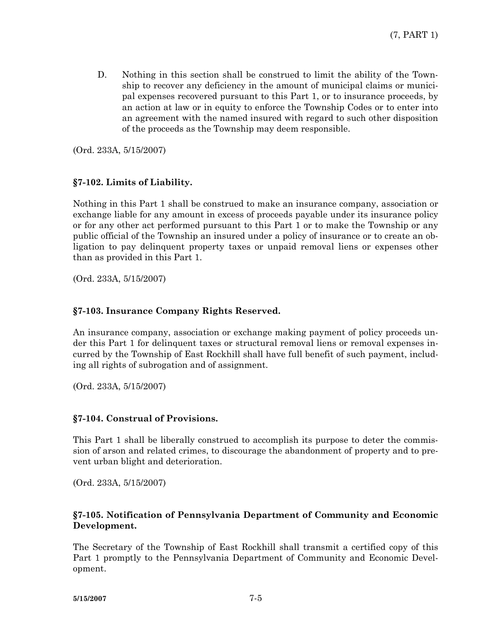D. Nothing in this section shall be construed to limit the ability of the Township to recover any deficiency in the amount of municipal claims or municipal expenses recovered pursuant to this Part 1, or to insurance proceeds, by an action at law or in equity to enforce the Township Codes or to enter into an agreement with the named insured with regard to such other disposition of the proceeds as the Township may deem responsible.

(Ord. 233A, 5/15/2007)

## **§7-102. Limits of Liability.**

Nothing in this Part 1 shall be construed to make an insurance company, association or exchange liable for any amount in excess of proceeds payable under its insurance policy or for any other act performed pursuant to this Part 1 or to make the Township or any public official of the Township an insured under a policy of insurance or to create an obligation to pay delinquent property taxes or unpaid removal liens or expenses other than as provided in this Part 1.

(Ord. 233A, 5/15/2007)

## **§7-103. Insurance Company Rights Reserved.**

An insurance company, association or exchange making payment of policy proceeds under this Part 1 for delinquent taxes or structural removal liens or removal expenses incurred by the Township of East Rockhill shall have full benefit of such payment, including all rights of subrogation and of assignment.

(Ord. 233A, 5/15/2007)

### **§7-104. Construal of Provisions.**

This Part 1 shall be liberally construed to accomplish its purpose to deter the commission of arson and related crimes, to discourage the abandonment of property and to prevent urban blight and deterioration.

(Ord. 233A, 5/15/2007)

### **§7-105. Notification of Pennsylvania Department of Community and Economic Development.**

The Secretary of the Township of East Rockhill shall transmit a certified copy of this Part 1 promptly to the Pennsylvania Department of Community and Economic Development.